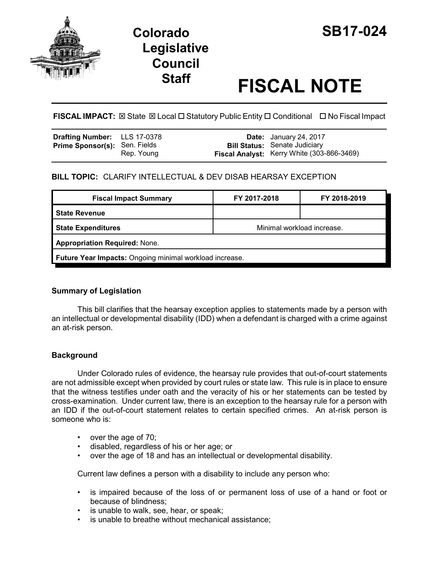

# **Colorado SB17-024 Legislative Council**

# **Staff FISCAL NOTE**

**FISCAL IMPACT:** ⊠ State ⊠ Local □ Statutory Public Entity □ Conditional □ No Fiscal Impact

| <b>Drafting Number:</b> LLS 17-0378  |            | <b>Date:</b> January 24, 2017                                                      |
|--------------------------------------|------------|------------------------------------------------------------------------------------|
| <b>Prime Sponsor(s): Sen. Fields</b> | Rep. Young | <b>Bill Status:</b> Senate Judiciary<br>Fiscal Analyst: Kerry White (303-866-3469) |

# **BILL TOPIC:** CLARIFY INTELLECTUAL & DEV DISAB HEARSAY EXCEPTION

| <b>Fiscal Impact Summary</b>                            | FY 2017-2018               | FY 2018-2019 |  |  |
|---------------------------------------------------------|----------------------------|--------------|--|--|
| <b>State Revenue</b>                                    |                            |              |  |  |
| <b>State Expenditures</b>                               | Minimal workload increase. |              |  |  |
| <b>Appropriation Required: None.</b>                    |                            |              |  |  |
| Future Year Impacts: Ongoing minimal workload increase. |                            |              |  |  |

## **Summary of Legislation**

This bill clarifies that the hearsay exception applies to statements made by a person with an intellectual or developmental disability (IDD) when a defendant is charged with a crime against an at-risk person.

# **Background**

Under Colorado rules of evidence, the hearsay rule provides that out-of-court statements are not admissible except when provided by court rules or state law. This rule is in place to ensure that the witness testifies under oath and the veracity of his or her statements can be tested by cross-examination. Under current law, there is an exception to the hearsay rule for a person with an IDD if the out-of-court statement relates to certain specified crimes. An at-risk person is someone who is:

- over the age of 70;
- disabled, regardless of his or her age; or
- over the age of 18 and has an intellectual or developmental disability.

Current law defines a person with a disability to include any person who:

- is impaired because of the loss of or permanent loss of use of a hand or foot or because of blindness;
- is unable to walk, see, hear, or speak;
- is unable to breathe without mechanical assistance;